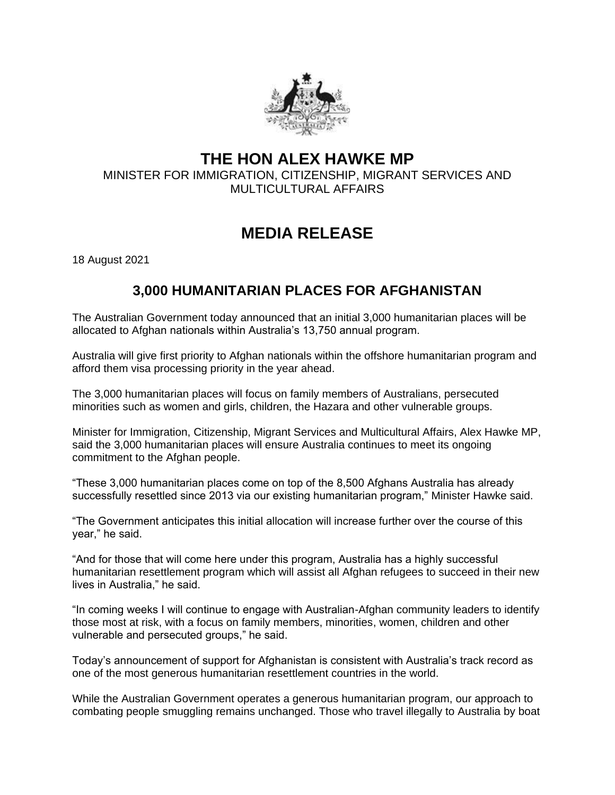

## **THE HON ALEX HAWKE MP**

MINISTER FOR IMMIGRATION, CITIZENSHIP, MIGRANT SERVICES AND MULTICULTURAL AFFAIRS

## **MEDIA RELEASE**

18 August 2021

## **3,000 HUMANITARIAN PLACES FOR AFGHANISTAN**

The Australian Government today announced that an initial 3,000 humanitarian places will be allocated to Afghan nationals within Australia's 13,750 annual program.

Australia will give first priority to Afghan nationals within the offshore humanitarian program and afford them visa processing priority in the year ahead.

The 3,000 humanitarian places will focus on family members of Australians, persecuted minorities such as women and girls, children, the Hazara and other vulnerable groups.

Minister for Immigration, Citizenship, Migrant Services and Multicultural Affairs, Alex Hawke MP, said the 3,000 humanitarian places will ensure Australia continues to meet its ongoing commitment to the Afghan people.

"These 3,000 humanitarian places come on top of the 8,500 Afghans Australia has already successfully resettled since 2013 via our existing humanitarian program," Minister Hawke said.

"The Government anticipates this initial allocation will increase further over the course of this year," he said.

"And for those that will come here under this program, Australia has a highly successful humanitarian resettlement program which will assist all Afghan refugees to succeed in their new lives in Australia," he said.

"In coming weeks I will continue to engage with Australian-Afghan community leaders to identify those most at risk, with a focus on family members, minorities, women, children and other vulnerable and persecuted groups," he said.

Today's announcement of support for Afghanistan is consistent with Australia's track record as one of the most generous humanitarian resettlement countries in the world.

While the Australian Government operates a generous humanitarian program, our approach to combating people smuggling remains unchanged. Those who travel illegally to Australia by boat